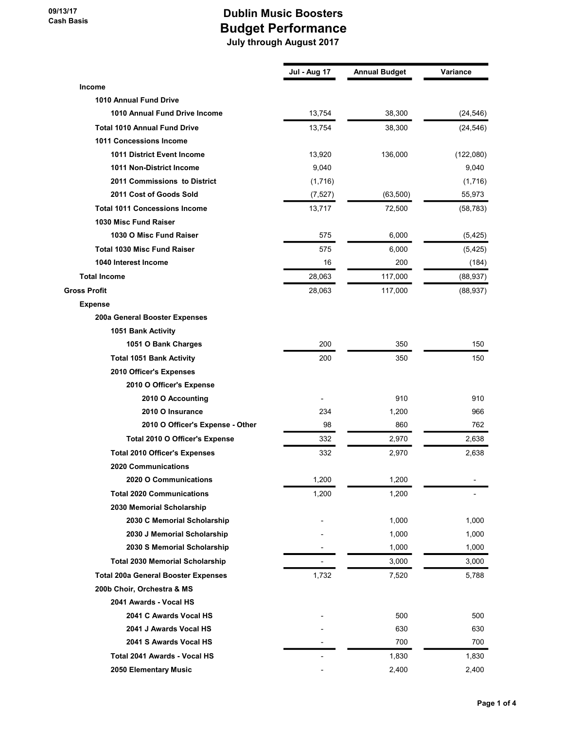|                                            | <b>Jul - Aug 17</b>      | <b>Annual Budget</b> | Variance  |
|--------------------------------------------|--------------------------|----------------------|-----------|
| <b>Income</b>                              |                          |                      |           |
| <b>1010 Annual Fund Drive</b>              |                          |                      |           |
| 1010 Annual Fund Drive Income              | 13,754                   | 38,300               | (24, 546) |
| <b>Total 1010 Annual Fund Drive</b>        | 13,754                   | 38,300               | (24, 546) |
| 1011 Concessions Income                    |                          |                      |           |
| <b>1011 District Event Income</b>          | 13,920                   | 136,000              | (122,080) |
| 1011 Non-District Income                   | 9,040                    |                      | 9,040     |
| 2011 Commissions to District               | (1,716)                  |                      | (1,716)   |
| 2011 Cost of Goods Sold                    | (7, 527)                 | (63, 500)            | 55,973    |
| <b>Total 1011 Concessions Income</b>       | 13,717                   | 72,500               | (58, 783) |
| 1030 Misc Fund Raiser                      |                          |                      |           |
| 1030 O Misc Fund Raiser                    | 575                      | 6,000                | (5, 425)  |
| <b>Total 1030 Misc Fund Raiser</b>         | 575                      | 6,000                | (5, 425)  |
| 1040 Interest Income                       | 16                       | 200                  | (184)     |
| <b>Total Income</b>                        | 28,063                   | 117,000              | (88, 937) |
| <b>Gross Profit</b>                        | 28,063                   | 117,000              | (88, 937) |
| <b>Expense</b>                             |                          |                      |           |
| 200a General Booster Expenses              |                          |                      |           |
| 1051 Bank Activity                         |                          |                      |           |
| 1051 O Bank Charges                        | 200                      | 350                  | 150       |
| <b>Total 1051 Bank Activity</b>            | 200                      | 350                  | 150       |
| 2010 Officer's Expenses                    |                          |                      |           |
| 2010 O Officer's Expense                   |                          |                      |           |
| 2010 O Accounting                          |                          | 910                  | 910       |
| 2010 O Insurance                           | 234                      | 1,200                | 966       |
| 2010 O Officer's Expense - Other           | 98                       | 860                  | 762       |
| Total 2010 O Officer's Expense             | 332                      | 2,970                | 2,638     |
| <b>Total 2010 Officer's Expenses</b>       | 332                      | 2,970                | 2,638     |
| <b>2020 Communications</b>                 |                          |                      |           |
| 2020 O Communications                      | 1,200                    | 1,200                |           |
| <b>Total 2020 Communications</b>           | 1,200                    | 1,200                |           |
| 2030 Memorial Scholarship                  |                          |                      |           |
| 2030 C Memorial Scholarship                |                          | 1,000                | 1,000     |
| 2030 J Memorial Scholarship                |                          | 1,000                | 1,000     |
| 2030 S Memorial Scholarship                |                          | 1,000                | 1,000     |
| <b>Total 2030 Memorial Scholarship</b>     | $\blacksquare$           | 3,000                | 3,000     |
| <b>Total 200a General Booster Expenses</b> | 1,732                    | 7,520                | 5,788     |
| 200b Choir, Orchestra & MS                 |                          |                      |           |
| 2041 Awards - Vocal HS                     |                          |                      |           |
| 2041 C Awards Vocal HS                     |                          | 500                  | 500       |
| 2041 J Awards Vocal HS                     |                          | 630                  | 630       |
| 2041 S Awards Vocal HS                     |                          | 700                  | 700       |
| Total 2041 Awards - Vocal HS               | $\overline{\phantom{a}}$ | 1,830                | 1,830     |
| 2050 Elementary Music                      |                          | 2,400                | 2,400     |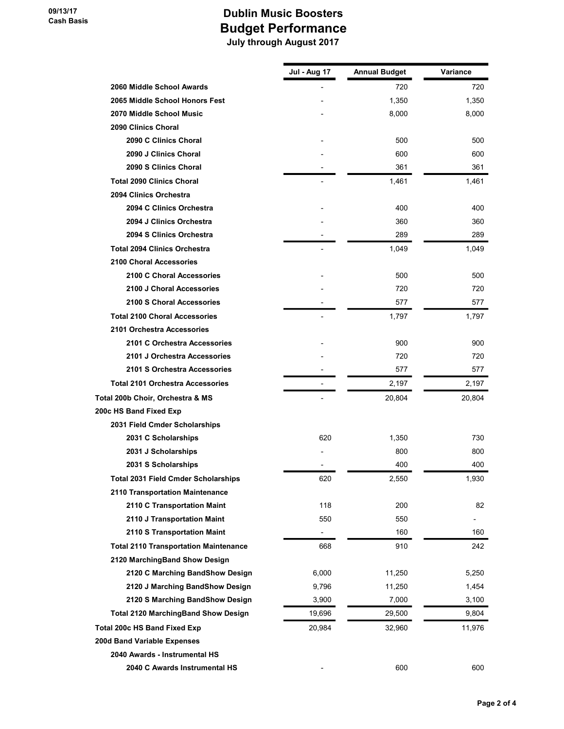|                                              | Jul - Aug 17 | <b>Annual Budget</b> | Variance |
|----------------------------------------------|--------------|----------------------|----------|
| 2060 Middle School Awards                    |              | 720                  | 720      |
| 2065 Middle School Honors Fest               |              | 1,350                | 1,350    |
| 2070 Middle School Music                     |              | 8,000                | 8,000    |
| 2090 Clinics Choral                          |              |                      |          |
| 2090 C Clinics Choral                        |              | 500                  | 500      |
| 2090 J Clinics Choral                        |              | 600                  | 600      |
| 2090 S Clinics Choral                        |              | 361                  | 361      |
| <b>Total 2090 Clinics Choral</b>             |              | 1,461                | 1,461    |
| 2094 Clinics Orchestra                       |              |                      |          |
| 2094 C Clinics Orchestra                     |              | 400                  | 400      |
| 2094 J Clinics Orchestra                     |              | 360                  | 360      |
| 2094 S Clinics Orchestra                     |              | 289                  | 289      |
| <b>Total 2094 Clinics Orchestra</b>          |              | 1,049                | 1,049    |
| 2100 Choral Accessories                      |              |                      |          |
| 2100 C Choral Accessories                    |              | 500                  | 500      |
| 2100 J Choral Accessories                    |              | 720                  | 720      |
| 2100 S Choral Accessories                    |              | 577                  | 577      |
| <b>Total 2100 Choral Accessories</b>         |              | 1,797                | 1,797    |
| 2101 Orchestra Accessories                   |              |                      |          |
| 2101 C Orchestra Accessories                 |              | 900                  | 900      |
| 2101 J Orchestra Accessories                 |              | 720                  | 720      |
| 2101 S Orchestra Accessories                 |              | 577                  | 577      |
| <b>Total 2101 Orchestra Accessories</b>      |              | 2,197                | 2,197    |
| Total 200b Choir, Orchestra & MS             |              | 20,804               | 20,804   |
| 200c HS Band Fixed Exp                       |              |                      |          |
| 2031 Field Cmder Scholarships                |              |                      |          |
| 2031 C Scholarships                          | 620          | 1,350                | 730      |
| 2031 J Scholarships                          |              | 800                  | 800      |
| 2031 S Scholarships                          |              | 400                  | 400      |
| <b>Total 2031 Field Cmder Scholarships</b>   | 620          | 2,550                | 1,930    |
| 2110 Transportation Maintenance              |              |                      |          |
| 2110 C Transportation Maint                  | 118          | 200                  | 82       |
| 2110 J Transportation Maint                  | 550          | 550                  |          |
| 2110 S Transportation Maint                  |              | 160                  | 160      |
| <b>Total 2110 Transportation Maintenance</b> | 668          | 910                  | 242      |
| 2120 MarchingBand Show Design                |              |                      |          |
| 2120 C Marching BandShow Design              | 6,000        | 11,250               | 5,250    |
| 2120 J Marching BandShow Design              | 9,796        | 11,250               | 1,454    |
| 2120 S Marching BandShow Design              | 3,900        | 7,000                | 3,100    |
| <b>Total 2120 MarchingBand Show Design</b>   | 19,696       | 29,500               | 9,804    |
| Total 200c HS Band Fixed Exp                 | 20,984       | 32,960               | 11,976   |
| 200d Band Variable Expenses                  |              |                      |          |
| 2040 Awards - Instrumental HS                |              |                      |          |
| 2040 C Awards Instrumental HS                |              | 600                  | 600      |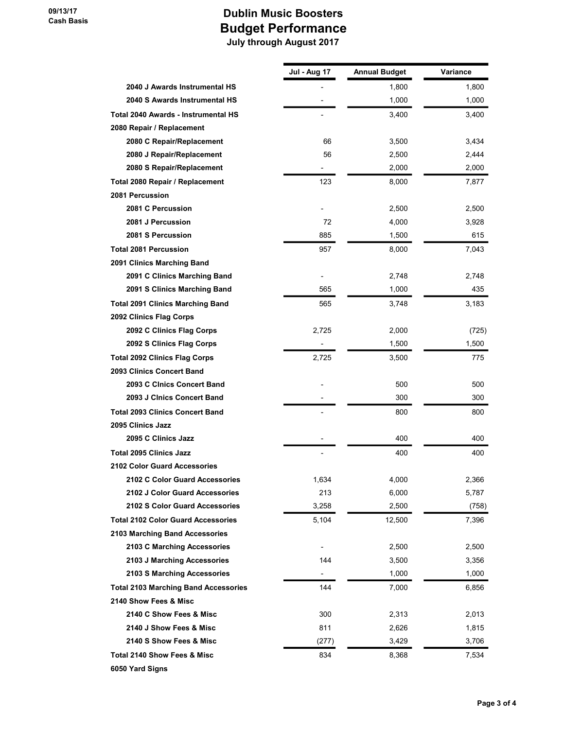|                                             | Jul - Aug 17   | <b>Annual Budget</b> | Variance |
|---------------------------------------------|----------------|----------------------|----------|
| 2040 J Awards Instrumental HS               |                | 1,800                | 1,800    |
| 2040 S Awards Instrumental HS               |                | 1,000                | 1,000    |
| <b>Total 2040 Awards - Instrumental HS</b>  |                | 3,400                | 3,400    |
| 2080 Repair / Replacement                   |                |                      |          |
| 2080 C Repair/Replacement                   | 66             | 3,500                | 3,434    |
| 2080 J Repair/Replacement                   | 56             | 2,500                | 2,444    |
| 2080 S Repair/Replacement                   |                | 2,000                | 2,000    |
| Total 2080 Repair / Replacement             | 123            | 8,000                | 7,877    |
| 2081 Percussion                             |                |                      |          |
| 2081 C Percussion                           |                | 2,500                | 2,500    |
| 2081 J Percussion                           | 72             | 4,000                | 3,928    |
| 2081 S Percussion                           | 885            | 1,500                | 615      |
| <b>Total 2081 Percussion</b>                | 957            | 8,000                | 7,043    |
| 2091 Clinics Marching Band                  |                |                      |          |
| 2091 C Clinics Marching Band                |                | 2,748                | 2,748    |
| 2091 S Clinics Marching Band                | 565            | 1,000                | 435      |
| <b>Total 2091 Clinics Marching Band</b>     | 565            | 3,748                | 3,183    |
| 2092 Clinics Flag Corps                     |                |                      |          |
| 2092 C Clinics Flag Corps                   | 2,725          | 2,000                | (725)    |
| 2092 S Clinics Flag Corps                   |                | 1,500                | 1,500    |
| <b>Total 2092 Clinics Flag Corps</b>        | 2,725          | 3,500                | 775      |
| 2093 Clinics Concert Band                   |                |                      |          |
| 2093 C Cinics Concert Band                  |                | 500                  | 500      |
| 2093 J Cinics Concert Band                  |                | 300                  | 300      |
| <b>Total 2093 Clinics Concert Band</b>      |                | 800                  | 800      |
| 2095 Clinics Jazz                           |                |                      |          |
| 2095 C Clinics Jazz                         |                | 400                  | 400      |
| <b>Total 2095 Clinics Jazz</b>              |                | 400                  | 400      |
| <b>2102 Color Guard Accessories</b>         |                |                      |          |
| 2102 C Color Guard Accessories              | 1,634          | 4,000                | 2,366    |
| 2102 J Color Guard Accessories              | 213            | 6,000                | 5,787    |
| 2102 S Color Guard Accessories              | 3,258          | 2,500                | (758)    |
| <b>Total 2102 Color Guard Accessories</b>   | 5,104          | 12,500               | 7,396    |
| 2103 Marching Band Accessories              |                |                      |          |
| 2103 C Marching Accessories                 |                | 2,500                | 2,500    |
| 2103 J Marching Accessories                 | 144            | 3,500                | 3,356    |
| 2103 S Marching Accessories                 | $\blacksquare$ | 1,000                | 1,000    |
| <b>Total 2103 Marching Band Accessories</b> | 144            | 7,000                | 6,856    |
| 2140 Show Fees & Misc                       |                |                      |          |
| 2140 C Show Fees & Misc                     | 300            | 2,313                | 2,013    |
| 2140 J Show Fees & Misc                     | 811            | 2,626                | 1,815    |
| 2140 S Show Fees & Misc                     | (277)          | 3,429                | 3,706    |
| Total 2140 Show Fees & Misc                 | 834            | 8,368                | 7,534    |
| 6050 Yard Signs                             |                |                      |          |